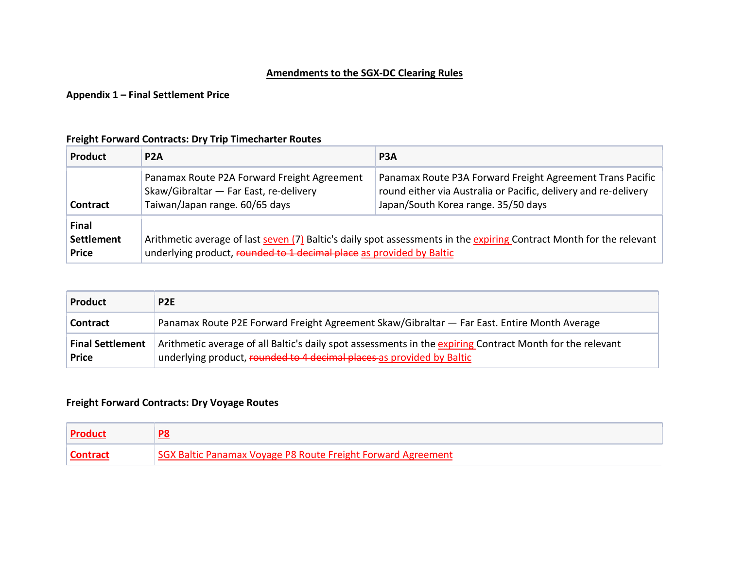### Amendments to the SGX-DC Clearing Rules

#### Appendix 1 – Final Settlement Price

### Freight Forward Contracts: Dry Trip Timecharter Routes

| Product                                           | P <sub>2</sub> A                                                                                                        | P <sub>3</sub> A                                                                                                                                                    |  |  |
|---------------------------------------------------|-------------------------------------------------------------------------------------------------------------------------|---------------------------------------------------------------------------------------------------------------------------------------------------------------------|--|--|
| <b>Contract</b>                                   | Panamax Route P2A Forward Freight Agreement<br>Skaw/Gibraltar - Far East, re-delivery<br>Taiwan/Japan range. 60/65 days | Panamax Route P3A Forward Freight Agreement Trans Pacific<br>round either via Australia or Pacific, delivery and re-delivery<br>Japan/South Korea range. 35/50 days |  |  |
| <b>Final</b><br><b>Settlement</b><br><b>Price</b> | underlying product, rounded to 1 decimal place as provided by Baltic                                                    | Arithmetic average of last seven (7) Baltic's daily spot assessments in the expiring Contract Month for the relevant                                                |  |  |

| <b>Product</b>                          | P <sub>2E</sub>                                                                                                                                                                    |
|-----------------------------------------|------------------------------------------------------------------------------------------------------------------------------------------------------------------------------------|
| Contract                                | Panamax Route P2E Forward Freight Agreement Skaw/Gibraltar — Far East. Entire Month Average                                                                                        |
| <b>Final Settlement</b><br><b>Price</b> | Arithmetic average of all Baltic's daily spot assessments in the expiring Contract Month for the relevant<br>underlying product, rounded to 4 decimal places as provided by Baltic |

## Freight Forward Contracts: Dry Voyage Routes

| <b>Product</b> |                                                              |
|----------------|--------------------------------------------------------------|
|                | SGX Baltic Panamax Voyage P8 Route Freight Forward Agreement |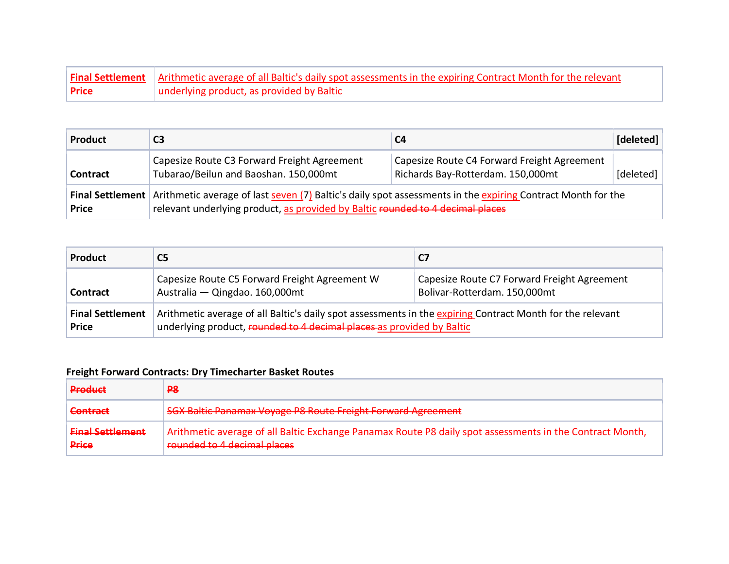|              | <b>Final Settlement</b> Arithmetic average of all Baltic's daily spot assessments in the expiring Contract Month for the relevant |
|--------------|-----------------------------------------------------------------------------------------------------------------------------------|
| <b>Price</b> | underlying product, as provided by Baltic                                                                                         |

| Product                                 | C3                                                                                                                                                                                            | C <sub>4</sub>                                                                   | [deleted] |  |  |  |
|-----------------------------------------|-----------------------------------------------------------------------------------------------------------------------------------------------------------------------------------------------|----------------------------------------------------------------------------------|-----------|--|--|--|
| Contract                                | Capesize Route C3 Forward Freight Agreement<br>Tubarao/Beilun and Baoshan. 150,000mt                                                                                                          | Capesize Route C4 Forward Freight Agreement<br>Richards Bay-Rotterdam. 150,000mt | [deleted] |  |  |  |
| <b>Final Settlement</b><br><b>Price</b> | Arithmetic average of last seven (7) Baltic's daily spot assessments in the expiring Contract Month for the<br>relevant underlying product, as provided by Baltic rounded to 4 decimal places |                                                                                  |           |  |  |  |

| <b>Product</b>                          | C5                                                                                                                                                                                 | C7                                                                          |  |  |  |
|-----------------------------------------|------------------------------------------------------------------------------------------------------------------------------------------------------------------------------------|-----------------------------------------------------------------------------|--|--|--|
| <b>Contract</b>                         | Capesize Route C5 Forward Freight Agreement W<br>Australia - Qingdao. 160,000mt                                                                                                    | Capesize Route C7 Forward Freight Agreement<br>Bolivar-Rotterdam. 150,000mt |  |  |  |
| <b>Final Settlement</b><br><b>Price</b> | Arithmetic average of all Baltic's daily spot assessments in the expiring Contract Month for the relevant<br>underlying product, rounded to 4 decimal places as provided by Baltic |                                                                             |  |  |  |

# Freight Forward Contracts: Dry Timecharter Basket Routes

| <b>Droduct</b><br>.                                          | <b>P8</b>                                                                                                                                                                                                                                                                                           |
|--------------------------------------------------------------|-----------------------------------------------------------------------------------------------------------------------------------------------------------------------------------------------------------------------------------------------------------------------------------------------------|
| Contract                                                     | SCV Paltic Panamay Voyago PR Pouto Froight Forward Agrooment<br><del>397 baltic Panamax Voyage Po Route Preight Forward Agreement</del>                                                                                                                                                             |
| <b>Einal Sattlamant</b><br><del>mai scaacmena</del><br>Price | Arithmetic average of all Raltic Evchange Danamay Route D& daily spot assessments in the Contract Month<br><u>Financial average of an barne exchange Fanancial Route Fo adily spot assessments in the contract monthly</u><br>rounded to A decimal places<br><del>rounded to 4 accimar piaces</del> |